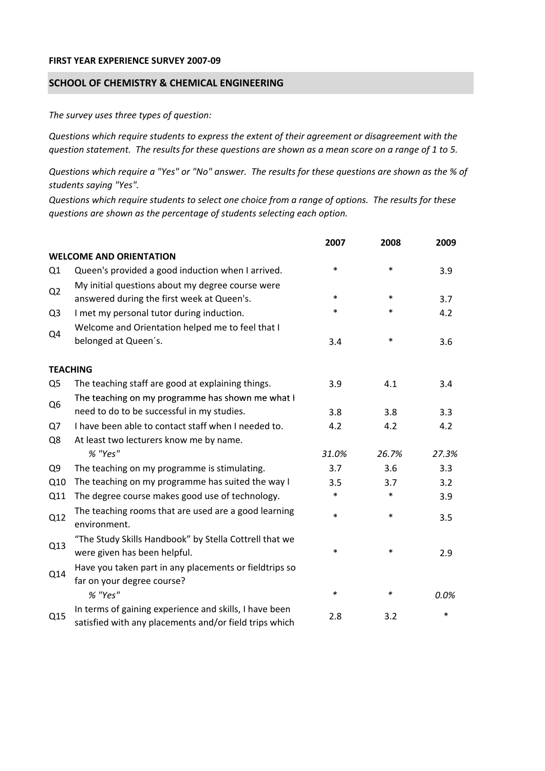## **FIRST YEAR EXPERIENCE SURVEY 2007‐09**

## **SCHOOL OF CHEMISTRY & CHEMICAL ENGINEERING**

*The survey uses three types of question:*

*Questions which require students to express the extent of their agreement or disagreement with the* question statement. The results for these questions are shown as a mean score on a range of 1 to 5.

Questions which require a "Yes" or "No" answer. The results for these questions are shown as the % of *students saying "Yes".*

Questions which require students to select one choice from a range of options. The results for these *questions are shown as the percentage of students selecting each option.*

|                |                                                                                                                  | 2007   | 2008   | 2009  |
|----------------|------------------------------------------------------------------------------------------------------------------|--------|--------|-------|
|                | <b>WELCOME AND ORIENTATION</b>                                                                                   |        |        |       |
| Q1             | Queen's provided a good induction when I arrived.                                                                | $\ast$ | $\ast$ | 3.9   |
| Q2             | My initial questions about my degree course were<br>answered during the first week at Queen's.                   | $\ast$ | $\ast$ | 3.7   |
| Q <sub>3</sub> | I met my personal tutor during induction.                                                                        | $\ast$ | $\ast$ | 4.2   |
| Q4             | Welcome and Orientation helped me to feel that I                                                                 |        |        |       |
|                | belonged at Queen's.                                                                                             | 3.4    | $\ast$ | 3.6   |
|                | <b>TEACHING</b>                                                                                                  |        |        |       |
| Q <sub>5</sub> | The teaching staff are good at explaining things.                                                                | 3.9    | 4.1    | 3.4   |
| Q <sub>6</sub> | The teaching on my programme has shown me what I                                                                 |        |        |       |
|                | need to do to be successful in my studies.                                                                       | 3.8    | 3.8    | 3.3   |
| Q7             | I have been able to contact staff when I needed to.                                                              | 4.2    | 4.2    | 4.2   |
| Q8             | At least two lecturers know me by name.                                                                          |        |        |       |
|                | % "Yes"                                                                                                          | 31.0%  | 26.7%  | 27.3% |
| Q <sub>9</sub> | The teaching on my programme is stimulating.                                                                     | 3.7    | 3.6    | 3.3   |
| Q10            | The teaching on my programme has suited the way I                                                                | 3.5    | 3.7    | 3.2   |
| Q11            | The degree course makes good use of technology.                                                                  | $\ast$ | $\ast$ | 3.9   |
| Q12            | The teaching rooms that are used are a good learning<br>environment.                                             | $\ast$ | $\ast$ | 3.5   |
| Q13            | "The Study Skills Handbook" by Stella Cottrell that we<br>were given has been helpful.                           | *      | $\ast$ | 2.9   |
| Q14            | Have you taken part in any placements or fieldtrips so<br>far on your degree course?                             |        |        |       |
|                | % "Yes"                                                                                                          | $\ast$ | $\ast$ | 0.0%  |
| Q15            | In terms of gaining experience and skills, I have been<br>satisfied with any placements and/or field trips which | 2.8    | 3.2    | *     |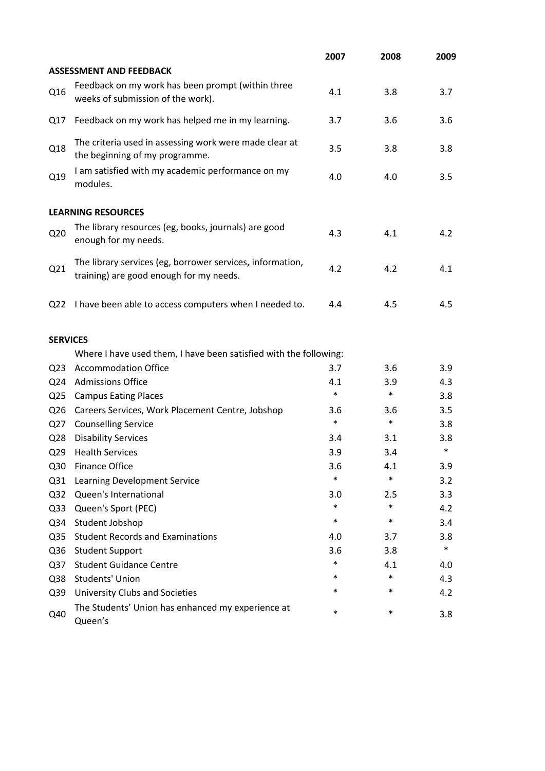|                 |                                                                                                      | 2007   | 2008   | 2009   |
|-----------------|------------------------------------------------------------------------------------------------------|--------|--------|--------|
|                 | <b>ASSESSMENT AND FEEDBACK</b>                                                                       |        |        |        |
| Q16             | Feedback on my work has been prompt (within three<br>weeks of submission of the work).               | 4.1    | 3.8    | 3.7    |
| Q17             | Feedback on my work has helped me in my learning.                                                    | 3.7    | 3.6    | 3.6    |
| Q18             | The criteria used in assessing work were made clear at<br>the beginning of my programme.             | 3.5    | 3.8    | 3.8    |
| Q19             | I am satisfied with my academic performance on my<br>modules.                                        | 4.0    | 4.0    | 3.5    |
|                 | <b>LEARNING RESOURCES</b>                                                                            |        |        |        |
| Q <sub>20</sub> | The library resources (eg, books, journals) are good<br>enough for my needs.                         | 4.3    | 4.1    | 4.2    |
| Q21             | The library services (eg, borrower services, information,<br>training) are good enough for my needs. | 4.2    | 4.2    | 4.1    |
| Q <sub>22</sub> | I have been able to access computers when I needed to.                                               | 4.4    | 4.5    | 4.5    |
| <b>SERVICES</b> |                                                                                                      |        |        |        |
|                 | Where I have used them, I have been satisfied with the following:                                    |        |        |        |
| Q <sub>23</sub> | <b>Accommodation Office</b>                                                                          | 3.7    | 3.6    | 3.9    |
| Q <sub>24</sub> | <b>Admissions Office</b>                                                                             | 4.1    | 3.9    | 4.3    |
| Q <sub>25</sub> | <b>Campus Eating Places</b>                                                                          | $\ast$ | $\ast$ | 3.8    |
| Q <sub>26</sub> | Careers Services, Work Placement Centre, Jobshop                                                     | 3.6    | 3.6    | 3.5    |
| Q27             | <b>Counselling Service</b>                                                                           | $\ast$ | $\ast$ | 3.8    |
| Q <sub>28</sub> | <b>Disability Services</b>                                                                           | 3.4    | 3.1    | 3.8    |
| Q <sub>29</sub> | <b>Health Services</b>                                                                               | 3.9    | 3.4    | $\ast$ |
| Q30             | <b>Finance Office</b>                                                                                | 3.6    | 4.1    | 3.9    |
| Q <sub>31</sub> | Learning Development Service                                                                         | $\ast$ | $\ast$ | 3.2    |
| Q <sub>32</sub> | Queen's International                                                                                | 3.0    | 2.5    | 3.3    |
| Q <sub>33</sub> | Queen's Sport (PEC)                                                                                  | $\ast$ | $\ast$ | 4.2    |
| Q34             | Student Jobshop                                                                                      | $\ast$ | $\ast$ | 3.4    |
| Q <sub>35</sub> | <b>Student Records and Examinations</b>                                                              | 4.0    | 3.7    | 3.8    |
| Q36             | <b>Student Support</b>                                                                               | 3.6    | 3.8    | $\ast$ |
| Q <sub>37</sub> | <b>Student Guidance Centre</b>                                                                       | $\ast$ | 4.1    | 4.0    |
| Q38             | Students' Union                                                                                      | *      | $\ast$ | 4.3    |
| Q39             | <b>University Clubs and Societies</b>                                                                | *      | *      | 4.2    |
| Q40             | The Students' Union has enhanced my experience at<br>Queen's                                         | $\ast$ | $\ast$ | 3.8    |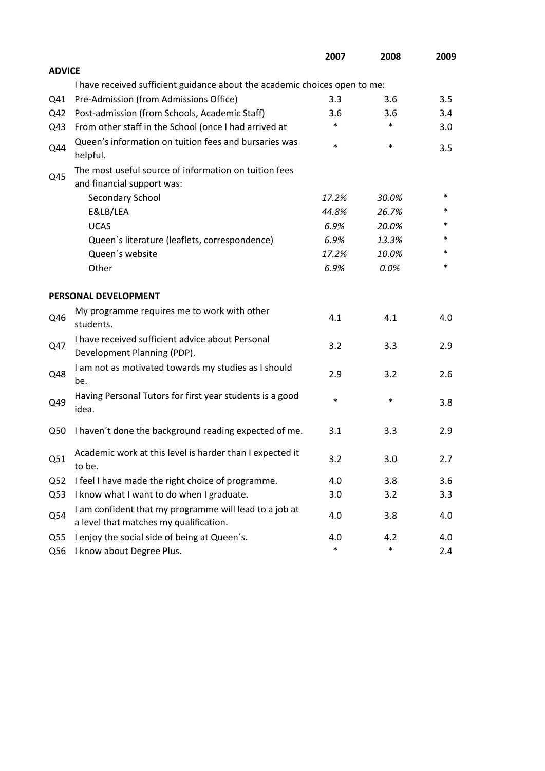|                 |                                                                                                  | 2007   | 2008   | 2009 |
|-----------------|--------------------------------------------------------------------------------------------------|--------|--------|------|
| <b>ADVICE</b>   |                                                                                                  |        |        |      |
|                 | I have received sufficient guidance about the academic choices open to me:                       |        |        |      |
| Q41             | Pre-Admission (from Admissions Office)                                                           | 3.3    | 3.6    | 3.5  |
| Q42             | Post-admission (from Schools, Academic Staff)                                                    | 3.6    | 3.6    | 3.4  |
| Q43             | From other staff in the School (once I had arrived at                                            | *      | $\ast$ | 3.0  |
| Q44             | Queen's information on tuition fees and bursaries was<br>helpful.                                | $\ast$ | $\ast$ | 3.5  |
|                 | The most useful source of information on tuition fees                                            |        |        |      |
| Q45             | and financial support was:                                                                       |        |        |      |
|                 | Secondary School                                                                                 | 17.2%  | 30.0%  | ∗    |
|                 | E&LB/LEA                                                                                         | 44.8%  | 26.7%  | *    |
|                 | <b>UCAS</b>                                                                                      | 6.9%   | 20.0%  |      |
|                 | Queen's literature (leaflets, correspondence)                                                    | 6.9%   | 13.3%  | *    |
|                 | Queen's website                                                                                  | 17.2%  | 10.0%  | *    |
|                 | Other                                                                                            | 6.9%   | 0.0%   | *    |
|                 | PERSONAL DEVELOPMENT                                                                             |        |        |      |
| Q46             | My programme requires me to work with other<br>students.                                         | 4.1    | 4.1    | 4.0  |
| Q47             | I have received sufficient advice about Personal<br>Development Planning (PDP).                  | 3.2    | 3.3    | 2.9  |
| Q48             | I am not as motivated towards my studies as I should<br>be.                                      | 2.9    | 3.2    | 2.6  |
| Q49             | Having Personal Tutors for first year students is a good<br>idea.                                | $\ast$ | $\ast$ | 3.8  |
| Q50             | I haven't done the background reading expected of me.                                            | 3.1    | 3.3    | 2.9  |
| Q51             | Academic work at this level is harder than I expected it<br>to be.                               | 3.2    | 3.0    | 2.7  |
| Q <sub>52</sub> | I feel I have made the right choice of programme.                                                | 4.0    | 3.8    | 3.6  |
| Q53             | I know what I want to do when I graduate.                                                        | 3.0    | 3.2    | 3.3  |
| Q54             | I am confident that my programme will lead to a job at<br>a level that matches my qualification. | 4.0    | 3.8    | 4.0  |
| Q55             | I enjoy the social side of being at Queen's.                                                     | 4.0    | 4.2    | 4.0  |
| Q56             | I know about Degree Plus.                                                                        | $\ast$ | $\ast$ | 2.4  |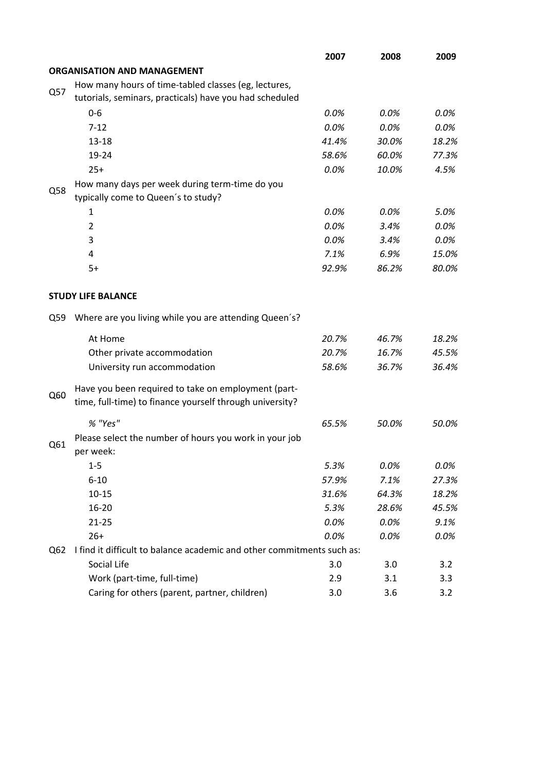|     |                                                                        | 2007  | 2008  | 2009  |
|-----|------------------------------------------------------------------------|-------|-------|-------|
|     | <b>ORGANISATION AND MANAGEMENT</b>                                     |       |       |       |
|     | How many hours of time-tabled classes (eg, lectures,                   |       |       |       |
| Q57 | tutorials, seminars, practicals) have you had scheduled                |       |       |       |
|     | $0-6$                                                                  | 0.0%  | 0.0%  | 0.0%  |
|     | $7 - 12$                                                               | 0.0%  | 0.0%  | 0.0%  |
|     | $13 - 18$                                                              | 41.4% | 30.0% | 18.2% |
|     | 19-24                                                                  | 58.6% | 60.0% | 77.3% |
|     | $25+$                                                                  | 0.0%  | 10.0% | 4.5%  |
|     | How many days per week during term-time do you                         |       |       |       |
| Q58 | typically come to Queen's to study?                                    |       |       |       |
|     | 1                                                                      | 0.0%  | 0.0%  | 5.0%  |
|     | $\overline{2}$                                                         | 0.0%  | 3.4%  | 0.0%  |
|     | 3                                                                      | 0.0%  | 3.4%  | 0.0%  |
|     | 4                                                                      | 7.1%  | 6.9%  | 15.0% |
|     | $5+$                                                                   | 92.9% | 86.2% | 80.0% |
|     |                                                                        |       |       |       |
|     | <b>STUDY LIFE BALANCE</b>                                              |       |       |       |
| Q59 | Where are you living while you are attending Queen's?                  |       |       |       |
|     | At Home                                                                | 20.7% | 46.7% | 18.2% |
|     | Other private accommodation                                            | 20.7% | 16.7% | 45.5% |
|     | University run accommodation                                           | 58.6% | 36.7% | 36.4% |
|     | Have you been required to take on employment (part-                    |       |       |       |
| Q60 | time, full-time) to finance yourself through university?               |       |       |       |
|     | % "Yes"                                                                | 65.5% | 50.0% | 50.0% |
|     | Please select the number of hours you work in your job                 |       |       |       |
| Q61 | per week:                                                              |       |       |       |
|     | $1-5$                                                                  | 5.3%  | 0.0%  | 0.0%  |
|     | $6 - 10$                                                               | 57.9% | 7.1%  | 27.3% |
|     | $10 - 15$                                                              | 31.6% | 64.3% | 18.2% |
|     | 16-20                                                                  | 5.3%  | 28.6% | 45.5% |
|     | $21 - 25$                                                              | 0.0%  | 0.0%  | 9.1%  |
|     | $26+$                                                                  | 0.0%  | 0.0%  | 0.0%  |
| Q62 | I find it difficult to balance academic and other commitments such as: |       |       |       |
|     | Social Life                                                            | 3.0   | 3.0   | 3.2   |
|     | Work (part-time, full-time)                                            | 2.9   | 3.1   | 3.3   |
|     | Caring for others (parent, partner, children)                          | 3.0   | 3.6   | 3.2   |